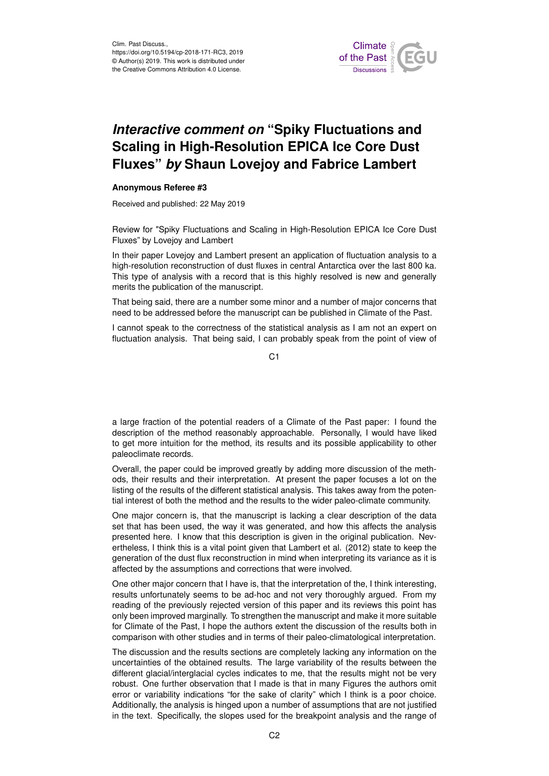

## *Interactive comment on* **"Spiky Fluctuations and Scaling in High-Resolution EPICA Ice Core Dust Fluxes"** *by* **Shaun Lovejoy and Fabrice Lambert**

## **Anonymous Referee #3**

Received and published: 22 May 2019

Review for "Spiky Fluctuations and Scaling in High-Resolution EPICA Ice Core Dust Fluxes" by Lovejoy and Lambert

In their paper Lovejoy and Lambert present an application of fluctuation analysis to a high-resolution reconstruction of dust fluxes in central Antarctica over the last 800 ka. This type of analysis with a record that is this highly resolved is new and generally merits the publication of the manuscript.

That being said, there are a number some minor and a number of major concerns that need to be addressed before the manuscript can be published in Climate of the Past.

I cannot speak to the correctness of the statistical analysis as I am not an expert on fluctuation analysis. That being said, I can probably speak from the point of view of

 $C<sub>1</sub>$ 

a large fraction of the potential readers of a Climate of the Past paper: I found the description of the method reasonably approachable. Personally, I would have liked to get more intuition for the method, its results and its possible applicability to other paleoclimate records.

Overall, the paper could be improved greatly by adding more discussion of the methods, their results and their interpretation. At present the paper focuses a lot on the listing of the results of the different statistical analysis. This takes away from the potential interest of both the method and the results to the wider paleo-climate community.

One major concern is, that the manuscript is lacking a clear description of the data set that has been used, the way it was generated, and how this affects the analysis presented here. I know that this description is given in the original publication. Nevertheless, I think this is a vital point given that Lambert et al. (2012) state to keep the generation of the dust flux reconstruction in mind when interpreting its variance as it is affected by the assumptions and corrections that were involved.

One other major concern that I have is, that the interpretation of the, I think interesting, results unfortunately seems to be ad-hoc and not very thoroughly argued. From my reading of the previously rejected version of this paper and its reviews this point has only been improved marginally. To strengthen the manuscript and make it more suitable for Climate of the Past, I hope the authors extent the discussion of the results both in comparison with other studies and in terms of their paleo-climatological interpretation.

The discussion and the results sections are completely lacking any information on the uncertainties of the obtained results. The large variability of the results between the different glacial/interglacial cycles indicates to me, that the results might not be very robust. One further observation that I made is that in many Figures the authors omit error or variability indications "for the sake of clarity" which I think is a poor choice. Additionally, the analysis is hinged upon a number of assumptions that are not justified in the text. Specifically, the slopes used for the breakpoint analysis and the range of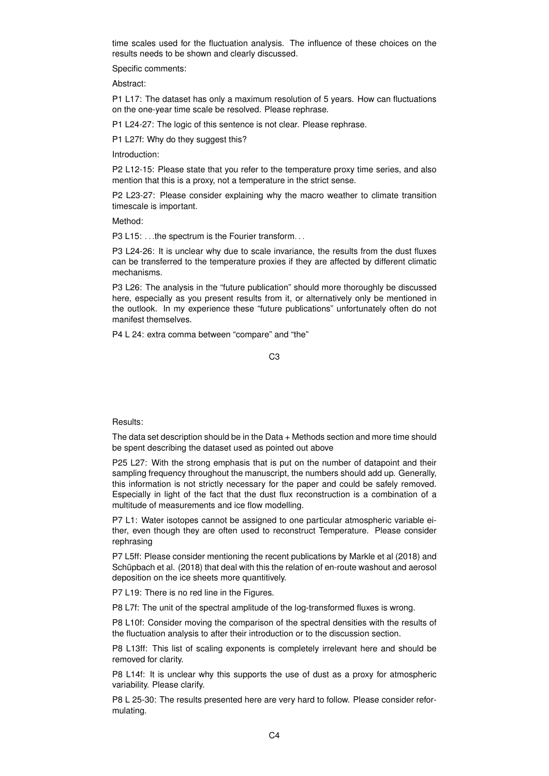time scales used for the fluctuation analysis. The influence of these choices on the results needs to be shown and clearly discussed.

Specific comments:

Abstract:

P1 L17: The dataset has only a maximum resolution of 5 years. How can fluctuations on the one-year time scale be resolved. Please rephrase.

P1 L24-27: The logic of this sentence is not clear. Please rephrase.

P1 L27f: Why do they suggest this?

Introduction:

P2 L12-15: Please state that you refer to the temperature proxy time series, and also mention that this is a proxy, not a temperature in the strict sense.

P2 L23-27: Please consider explaining why the macro weather to climate transition timescale is important.

Method<sup>.</sup>

P3 L15: ... the spectrum is the Fourier transform...

P3 L24-26: It is unclear why due to scale invariance, the results from the dust fluxes can be transferred to the temperature proxies if they are affected by different climatic mechanisms.

P3 L26: The analysis in the "future publication" should more thoroughly be discussed here, especially as you present results from it, or alternatively only be mentioned in the outlook. In my experience these "future publications" unfortunately often do not manifest themselves.

P4 L 24: extra comma between "compare" and "the"

## Results:

The data set description should be in the Data + Methods section and more time should be spent describing the dataset used as pointed out above

P25 L27: With the strong emphasis that is put on the number of datapoint and their sampling frequency throughout the manuscript, the numbers should add up. Generally, this information is not strictly necessary for the paper and could be safely removed. Especially in light of the fact that the dust flux reconstruction is a combination of a multitude of measurements and ice flow modelling.

P7 L1: Water isotopes cannot be assigned to one particular atmospheric variable either, even though they are often used to reconstruct Temperature. Please consider rephrasing

P7 L5ff: Please consider mentioning the recent publications by Markle et al (2018) and Schüpbach et al. (2018) that deal with this the relation of en-route washout and aerosol deposition on the ice sheets more quantitively.

P7 L19: There is no red line in the Figures.

P8 L7f: The unit of the spectral amplitude of the log-transformed fluxes is wrong.

P8 L10f: Consider moving the comparison of the spectral densities with the results of the fluctuation analysis to after their introduction or to the discussion section.

P8 L13ff: This list of scaling exponents is completely irrelevant here and should be removed for clarity.

P8 L14f: It is unclear why this supports the use of dust as a proxy for atmospheric variability. Please clarify.

P8 L 25-30: The results presented here are very hard to follow. Please consider reformulating.

C3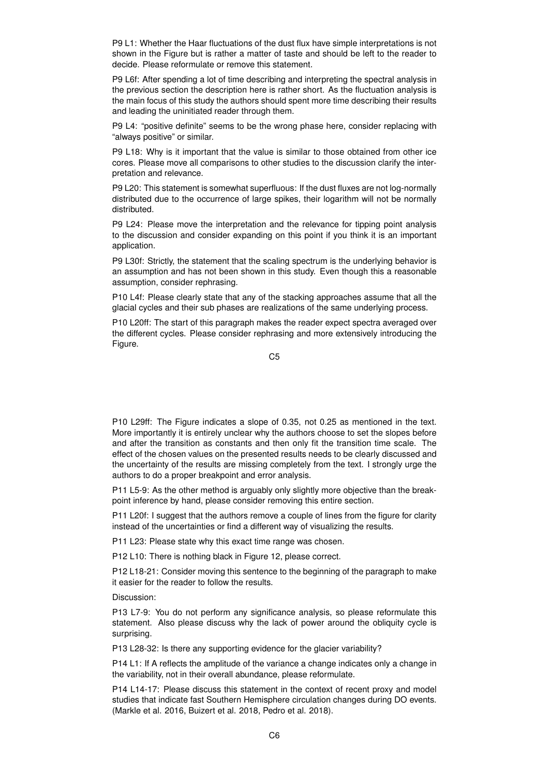P9 L1: Whether the Haar fluctuations of the dust flux have simple interpretations is not shown in the Figure but is rather a matter of taste and should be left to the reader to decide. Please reformulate or remove this statement.

P9 L6f: After spending a lot of time describing and interpreting the spectral analysis in the previous section the description here is rather short. As the fluctuation analysis is the main focus of this study the authors should spent more time describing their results and leading the uninitiated reader through them.

P9 L4: "positive definite" seems to be the wrong phase here, consider replacing with "always positive" or similar.

P9 L18: Why is it important that the value is similar to those obtained from other ice cores. Please move all comparisons to other studies to the discussion clarify the interpretation and relevance.

P9 L20: This statement is somewhat superfluous: If the dust fluxes are not log-normally distributed due to the occurrence of large spikes, their logarithm will not be normally distributed.

P9 L24: Please move the interpretation and the relevance for tipping point analysis to the discussion and consider expanding on this point if you think it is an important application.

P9 L30f: Strictly, the statement that the scaling spectrum is the underlying behavior is an assumption and has not been shown in this study. Even though this a reasonable assumption, consider rephrasing.

P10 L4f: Please clearly state that any of the stacking approaches assume that all the glacial cycles and their sub phases are realizations of the same underlying process.

P10 L20ff: The start of this paragraph makes the reader expect spectra averaged over the different cycles. Please consider rephrasing and more extensively introducing the Figure.

C5

P10 L29ff: The Figure indicates a slope of 0.35, not 0.25 as mentioned in the text. More importantly it is entirely unclear why the authors choose to set the slopes before and after the transition as constants and then only fit the transition time scale. The effect of the chosen values on the presented results needs to be clearly discussed and the uncertainty of the results are missing completely from the text. I strongly urge the authors to do a proper breakpoint and error analysis.

P11 L5-9: As the other method is arguably only slightly more objective than the breakpoint inference by hand, please consider removing this entire section.

P11 L20f: I suggest that the authors remove a couple of lines from the figure for clarity instead of the uncertainties or find a different way of visualizing the results.

P11 L23: Please state why this exact time range was chosen.

P12 L10: There is nothing black in Figure 12, please correct.

P12 L18-21: Consider moving this sentence to the beginning of the paragraph to make it easier for the reader to follow the results.

Discussion:

P13 L7-9: You do not perform any significance analysis, so please reformulate this statement. Also please discuss why the lack of power around the obliquity cycle is surprising.

P13 L28-32: Is there any supporting evidence for the glacier variability?

P14 L1: If A reflects the amplitude of the variance a change indicates only a change in the variability, not in their overall abundance, please reformulate.

P14 L14-17: Please discuss this statement in the context of recent proxy and model studies that indicate fast Southern Hemisphere circulation changes during DO events. (Markle et al. 2016, Buizert et al. 2018, Pedro et al. 2018).